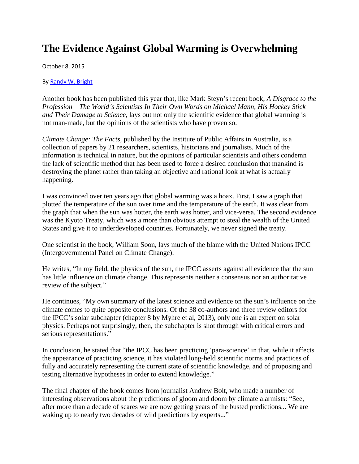## **The Evidence Against Global Warming is Overwhelming**

October 8, 2015

B[y Randy W. Bright](http://www.tulsabeacon.com/author/slug-o6yd1v)

Another book has been published this year that, like Mark Steyn"s recent book, *A Disgrace to the Profession – The World's Scientists In Their Own Words on Michael Mann, His Hockey Stick and Their Damage to Science,* lays out not only the scientific evidence that global warming is not man-made, but the opinions of the scientists who have proven so.

*Climate Change: The Facts,* published by the Institute of Public Affairs in Australia, is a collection of papers by 21 researchers, scientists, historians and journalists. Much of the information is technical in nature, but the opinions of particular scientists and others condemn the lack of scientific method that has been used to force a desired conclusion that mankind is destroying the planet rather than taking an objective and rational look at what is actually happening.

I was convinced over ten years ago that global warming was a hoax. First, I saw a graph that plotted the temperature of the sun over time and the temperature of the earth. It was clear from the graph that when the sun was hotter, the earth was hotter, and vice-versa. The second evidence was the Kyoto Treaty, which was a more than obvious attempt to steal the wealth of the United States and give it to underdeveloped countries. Fortunately, we never signed the treaty.

One scientist in the book, William Soon, lays much of the blame with the United Nations IPCC (Intergovernmental Panel on Climate Change).

He writes, "In my field, the physics of the sun, the IPCC asserts against all evidence that the sun has little influence on climate change. This represents neither a consensus nor an authoritative review of the subject."

He continues, "My own summary of the latest science and evidence on the sun's influence on the climate comes to quite opposite conclusions. Of the 38 co-authors and three review editors for the IPCC"s solar subchapter (chapter 8 by Myhre et al, 2013), only one is an expert on solar physics. Perhaps not surprisingly, then, the subchapter is shot through with critical errors and serious representations."

In conclusion, he stated that "the IPCC has been practicing 'para-science' in that, while it affects the appearance of practicing science, it has violated long-held scientific norms and practices of fully and accurately representing the current state of scientific knowledge, and of proposing and testing alternative hypotheses in order to extend knowledge."

The final chapter of the book comes from journalist Andrew Bolt, who made a number of interesting observations about the predictions of gloom and doom by climate alarmists: "See, after more than a decade of scares we are now getting years of the busted predictions... We are waking up to nearly two decades of wild predictions by experts..."